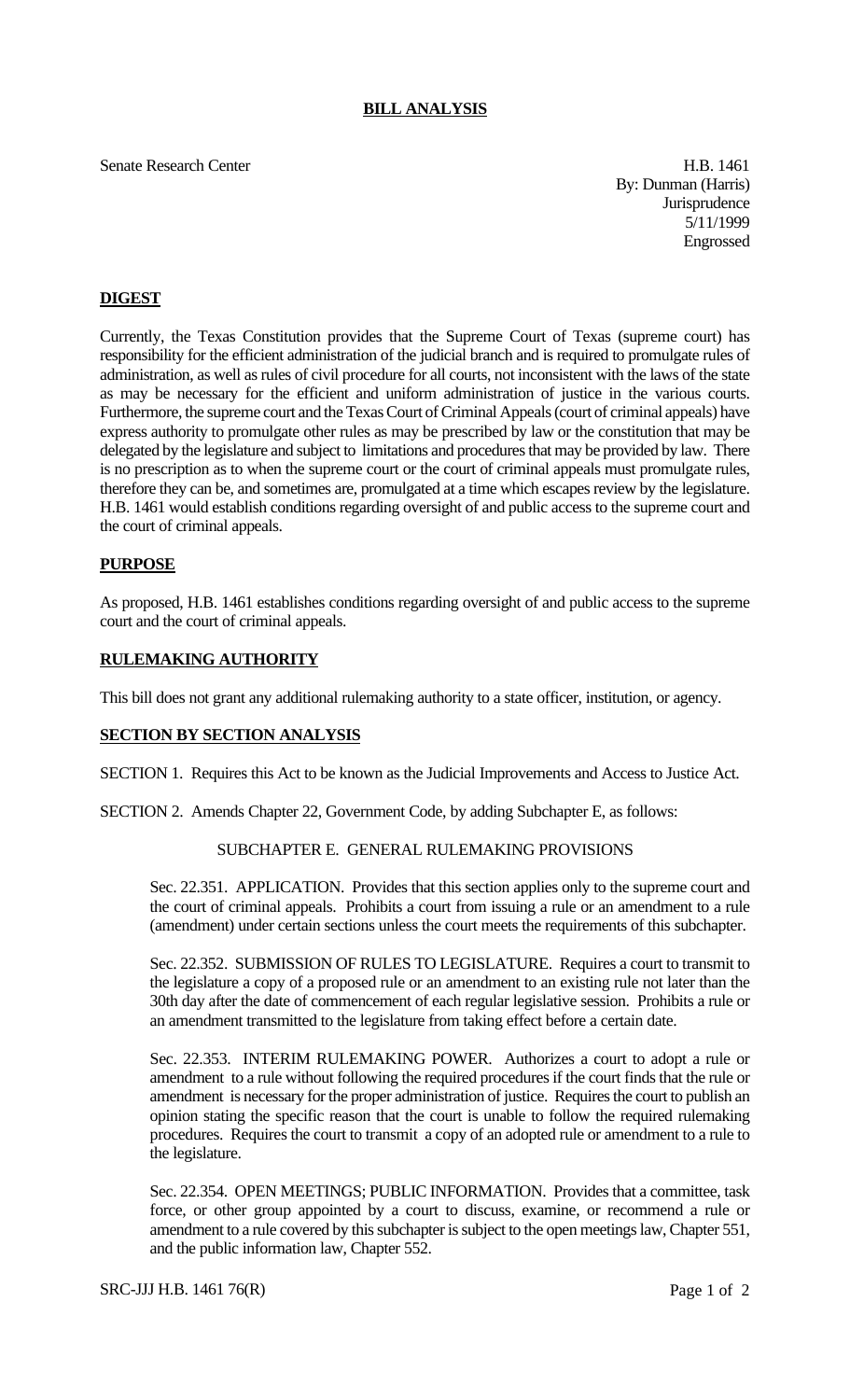## **BILL ANALYSIS**

Senate Research Center H.B. 1461

By: Dunman (Harris) **Jurisprudence** 5/11/1999 Engrossed

# **DIGEST**

Currently, the Texas Constitution provides that the Supreme Court of Texas (supreme court) has responsibility for the efficient administration of the judicial branch and is required to promulgate rules of administration, as well as rules of civil procedure for all courts, not inconsistent with the laws of the state as may be necessary for the efficient and uniform administration of justice in the various courts. Furthermore, the supreme court and the Texas Court of Criminal Appeals (court of criminal appeals) have express authority to promulgate other rules as may be prescribed by law or the constitution that may be delegated by the legislature and subject to limitations and procedures that may be provided by law. There is no prescription as to when the supreme court or the court of criminal appeals must promulgate rules, therefore they can be, and sometimes are, promulgated at a time which escapes review by the legislature. H.B. 1461 would establish conditions regarding oversight of and public access to the supreme court and the court of criminal appeals.

## **PURPOSE**

As proposed, H.B. 1461 establishes conditions regarding oversight of and public access to the supreme court and the court of criminal appeals.

## **RULEMAKING AUTHORITY**

This bill does not grant any additional rulemaking authority to a state officer, institution, or agency.

#### **SECTION BY SECTION ANALYSIS**

SECTION 1. Requires this Act to be known as the Judicial Improvements and Access to Justice Act.

SECTION 2. Amends Chapter 22, Government Code, by adding Subchapter E, as follows:

#### SUBCHAPTER E. GENERAL RULEMAKING PROVISIONS

Sec. 22.351. APPLICATION. Provides that this section applies only to the supreme court and the court of criminal appeals. Prohibits a court from issuing a rule or an amendment to a rule (amendment) under certain sections unless the court meets the requirements of this subchapter.

Sec. 22.352. SUBMISSION OF RULES TO LEGISLATURE. Requires a court to transmit to the legislature a copy of a proposed rule or an amendment to an existing rule not later than the 30th day after the date of commencement of each regular legislative session. Prohibits a rule or an amendment transmitted to the legislature from taking effect before a certain date.

Sec. 22.353. INTERIM RULEMAKING POWER. Authorizes a court to adopt a rule or amendment to a rule without following the required procedures if the court finds that the rule or amendment is necessary for the proper administration of justice. Requires the court to publish an opinion stating the specific reason that the court is unable to follow the required rulemaking procedures. Requires the court to transmit a copy of an adopted rule or amendment to a rule to the legislature.

Sec. 22.354. OPEN MEETINGS; PUBLIC INFORMATION. Provides that a committee, task force, or other group appointed by a court to discuss, examine, or recommend a rule or amendment to a rule covered by this subchapter is subject to the open meetings law, Chapter 551, and the public information law, Chapter 552.